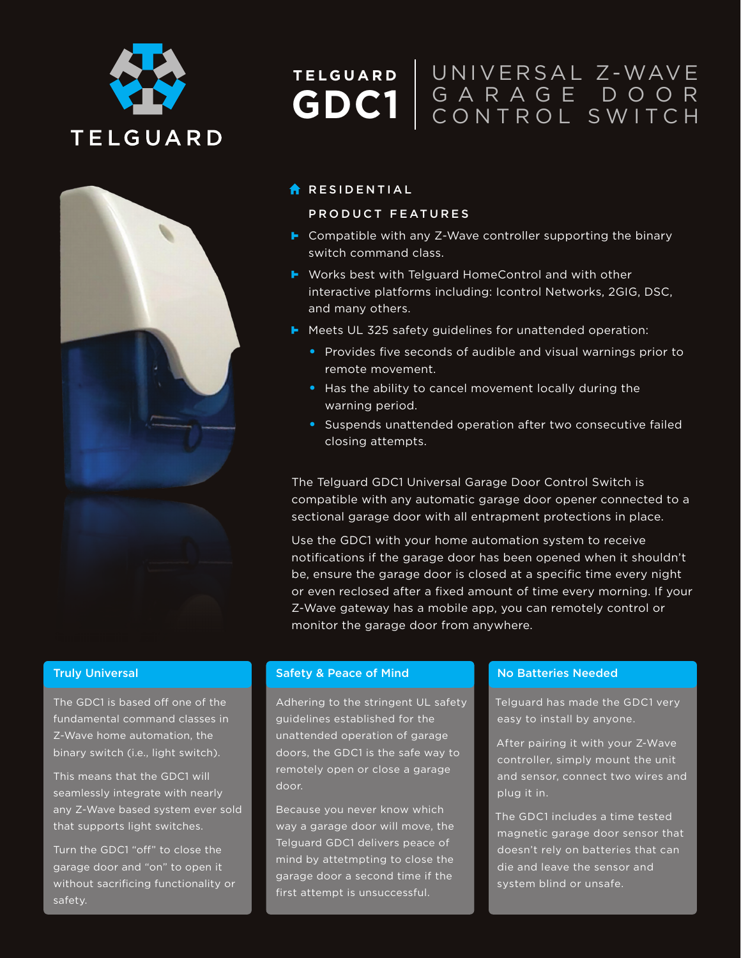



# UNIVERSAL Z-WAVE **TELGUARD** GARAGE DOOR **GDC1** GARAGE DOOR

## **RESIDENTIAL**

### PRODUCT FEATURES

- ► Compatible with any Z-Wave controller supporting the binary switch command class.
- ► Works best with Telguard HomeControl and with other interactive platforms including: Icontrol Networks, 2GIG, DSC, and many others.
- **F** Meets UL 325 safety guidelines for unattended operation:
	- Provides five seconds of audible and visual warnings prior to remote movement.
	- Has the ability to cancel movement locally during the warning period.
	- Suspends unattended operation after two consecutive failed closing attempts.

The Telguard GDC1 Universal Garage Door Control Switch is compatible with any automatic garage door opener connected to a sectional garage door with all entrapment protections in place.

Use the GDC1 with your home automation system to receive notifications if the garage door has been opened when it shouldn't be, ensure the garage door is closed at a specific time every night or even reclosed after a fixed amount of time every morning. If your Z-Wave gateway has a mobile app, you can remotely control or monitor the garage door from anywhere.

### Truly Universal

The GDC1 is based off one of the fundamental command classes in Z-Wave home automation, the binary switch (i.e., light switch).

This means that the GDC1 will seamlessly integrate with nearly any Z-Wave based system ever sold that supports light switches.

Turn the GDC1 "off" to close the garage door and "on" to open it without sacrificing functionality or safety.

### Safety & Peace of Mind

Adhering to the stringent UL safety guidelines established for the unattended operation of garage doors, the GDC1 is the safe way to remotely open or close a garage door.

Because you never know which way a garage door will move, the Telguard GDC1 delivers peace of mind by attetmpting to close the garage door a second time if the first attempt is unsuccessful.

### No Batteries Needed

Telguard has made the GDC1 very easy to install by anyone.

After pairing it with your Z-Wave controller, simply mount the unit and sensor, connect two wires and plug it in.

The GDC1 includes a time tested magnetic garage door sensor that doesn't rely on batteries that can die and leave the sensor and system blind or unsafe.